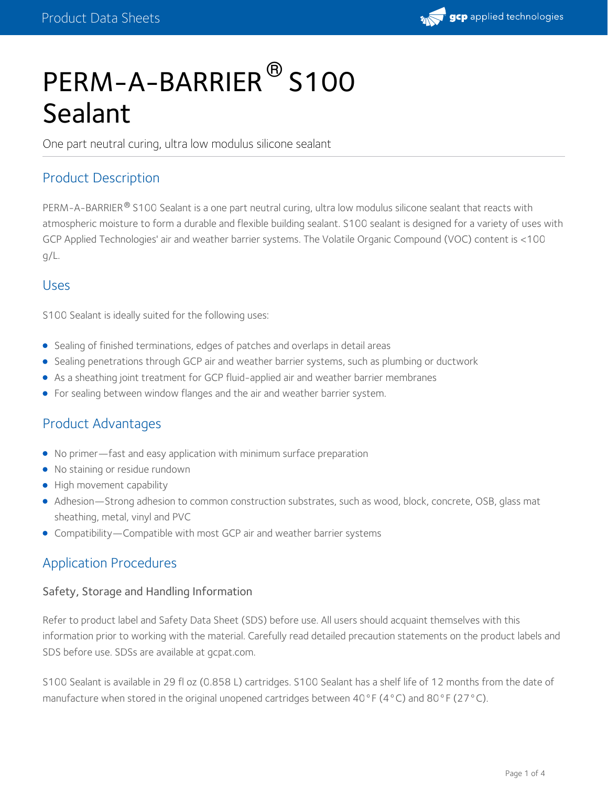

# PERM-A-BARRIER<sup>®</sup> S100 Sealant

One part neutral curing, ultra low modulus silicone sealant

#### Product Description

PERM-A-BARRIER® S100 Sealant is a one part neutral curing, ultra low modulus silicone sealant that reacts with atmospheric moisture to form a durable and flexible building sealant. S100 sealant is designed for a variety of uses with GCP Applied Technologies' air and weather barrier systems. The Volatile Organic Compound (VOC) content is <100 g/L.

#### Uses

S100 Sealant is ideally suited for the following uses:

- Sealing of finished terminations, edges of patches and overlaps in detail areas
- Sealing penetrations through GCP air and weather barrier systems, such as plumbing or ductwork
- As a sheathing joint treatment for GCP fluid-applied air and weather barrier membranes
- For sealing between window flanges and the air and weather barrier system.

#### Product Advantages

- No primer—fast and easy application with minimum surface preparation
- No staining or residue rundown
- High movement capability
- Adhesion—Strong adhesion to common construction substrates, such as wood, block, concrete, OSB, glass mat sheathing, metal, vinyl and PVC
- Compatibility—Compatible with most GCP air and weather barrier systems

#### Application Procedures

#### Safety, Storage and Handling Information

Refer to product label and Safety Data Sheet (SDS) before use. All users should acquaint themselves with this information prior to working with the material. Carefully read detailed precaution statements on the product labels and SDS before use. SDSs are available at gcpat.com.

S100 Sealant is available in 29 fl oz (0.858 L) cartridges. S100 Sealant has a shelf life of 12 months from the date of manufacture when stored in the original unopened cartridges between 40°F (4°C) and 80°F (27°C).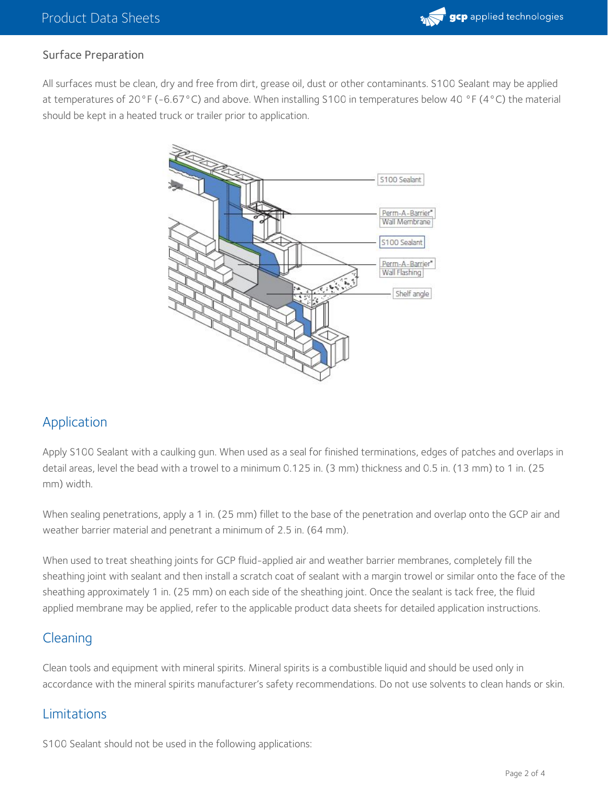#### Surface Preparation

All surfaces must be clean, dry and free from dirt, grease oil, dust or other contaminants. S100 Sealant may be applied at temperatures of 20°F (-6.67°C) and above. When installing S100 in temperatures below 40 °F (4°C) the material should be kept in a heated truck or trailer prior to application.



# Application

Apply S100 Sealant with a caulking gun. When used as a seal for finished terminations, edges of patches and overlaps in detail areas, level the bead with a trowel to a minimum 0.125 in. (3 mm) thickness and 0.5 in. (13 mm) to 1 in. (25 mm) width.

When sealing penetrations, apply a 1 in. (25 mm) fillet to the base of the penetration and overlap onto the GCP air and weather barrier material and penetrant a minimum of 2.5 in. (64 mm).

When used to treat sheathing joints for GCP fluid-applied air and weather barrier membranes, completely fill the sheathing joint with sealant and then install a scratch coat of sealant with a margin trowel or similar onto the face of the sheathing approximately 1 in. (25 mm) on each side of the sheathing joint. Once the sealant is tack free, the fluid applied membrane may be applied, refer to the applicable product data sheets for detailed application instructions.

#### Cleaning

Clean tools and equipment with mineral spirits. Mineral spirits is a combustible liquid and should be used only in accordance with the mineral spirits manufacturer's safety recommendations. Do not use solvents to clean hands or skin.

# Limitations

S100 Sealant should not be used in the following applications: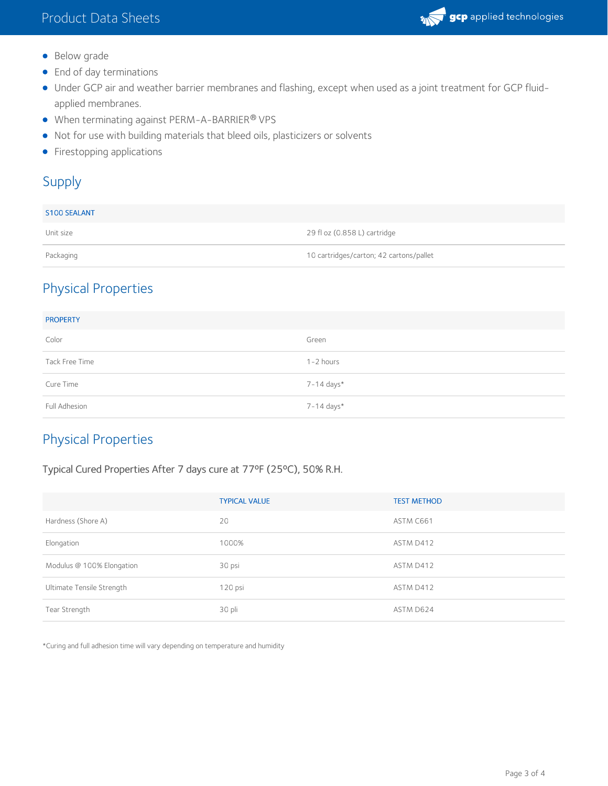

- Below grade
- End of day terminations
- Under GCP air and weather barrier membranes and flashing, except when used as a joint treatment for GCP fluidapplied membranes.
- When terminating against PERM-A-BARRIER® VPS
- Not for use with building materials that bleed oils, plasticizers or solvents
- **•** Firestopping applications

### Supply

| <b>S100 SEALANT</b> |                                         |
|---------------------|-----------------------------------------|
| Unit size           | 29 fl oz (0.858 L) cartridge            |
| Packaging           | 10 cartridges/carton; 42 cartons/pallet |

# Physical Properties

| <b>PROPERTY</b> |               |
|-----------------|---------------|
| Color           | Green         |
| Tack Free Time  | $1 - 2$ hours |
| Cure Time       | 7-14 days*    |
| Full Adhesion   | 7-14 days*    |

# Physical Properties

#### Typical Cured Properties After 7 days cure at 77ºF (25ºC), 50% R.H.

|                           | <b>TYPICAL VALUE</b> | <b>TEST METHOD</b> |
|---------------------------|----------------------|--------------------|
| Hardness (Shore A)        | 20                   | ASTM C661          |
| Elongation                | 1000%                | ASTM D412          |
| Modulus @ 100% Elongation | 30 psi               | ASTM D412          |
| Ultimate Tensile Strength | 120 psi              | ASTM D412          |
| Tear Strength             | 30 pli               | ASTM D624          |

\*Curing and full adhesion time will vary depending on temperature and humidity